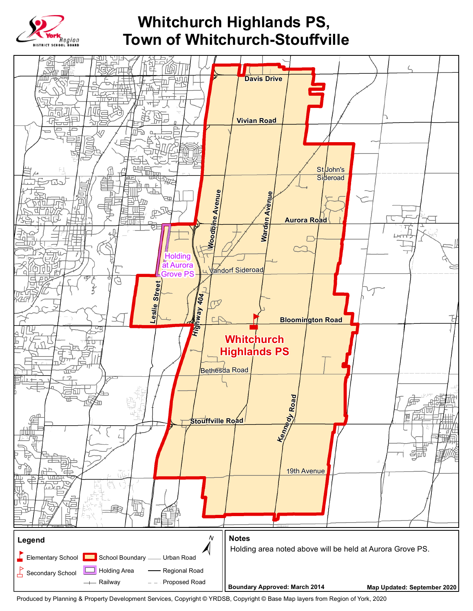

## **Whitchurch Highlands PS, Town of Whitchurch-Stouffville**



Produced by Planning & Property Development Services, Copyright © YRDSB, Copyright © Base Map layers from Region of York, 2020